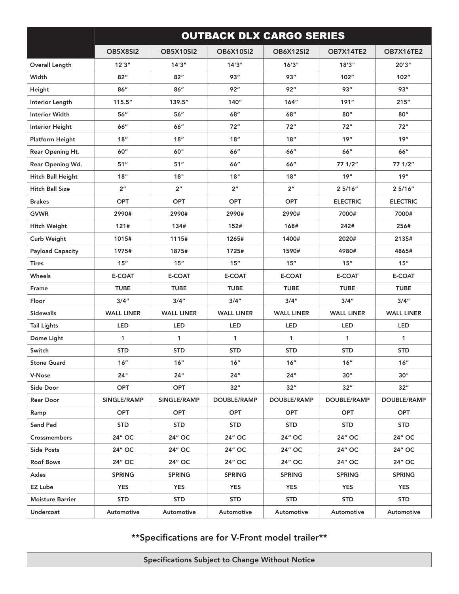|                          | <b>OUTBACK DLX CARGO SERIES</b> |                   |                   |                    |                    |                    |  |  |
|--------------------------|---------------------------------|-------------------|-------------------|--------------------|--------------------|--------------------|--|--|
|                          | OB5X8SI2                        | <b>OB5X10SI2</b>  | <b>OB6X10SI2</b>  | <b>OB6X12SI2</b>   | <b>OB7X14TE2</b>   | OB7X16TE2          |  |  |
| <b>Overall Length</b>    | 12'3''                          | 14'3''            | 14'3''            | 16'3''             | 18'3''             | 20'3"              |  |  |
| Width                    | 82"                             | 82"               | 93''              | 93''               | 102"               | 102"               |  |  |
| Height                   | 86"                             | 86''              | 92"               | 92"                | 93"                | 93''               |  |  |
| Interior Length          | 115.5''                         | 139.5"            | 140"              | 164"               | 191"               | 215"               |  |  |
| <b>Interior Width</b>    | 56''                            | 56''              | 68"               | 68"                | 80''               | 80"                |  |  |
| <b>Interior Height</b>   | 66"                             | 66"               | 72"               | 72"                | 72"                | 72"                |  |  |
| Platform Height          | 18"                             | 18"               | 18"               | 18"                | 19"                | 19"                |  |  |
| Rear Opening Ht.         | 60"                             | 60"               | 66"               | 66"                | 66"                | 66"                |  |  |
| Rear Opening Wd.         | 51"                             | 51"               | 66"               | 66"                | 77 1/2"            | 77 1/2"            |  |  |
| <b>Hitch Ball Height</b> | 18"                             | 18"               | 18"               | 18"                | 19"                | 19"                |  |  |
| <b>Hitch Ball Size</b>   | 2 <sup>n</sup>                  | 2 <sup>n</sup>    | 2 <sup>n</sup>    | 2 <sup>n</sup>     | 25/16"             | 25/16"             |  |  |
| <b>Brakes</b>            | <b>OPT</b>                      | <b>OPT</b>        | <b>OPT</b>        | <b>OPT</b>         | <b>ELECTRIC</b>    | <b>ELECTRIC</b>    |  |  |
| <b>GVWR</b>              | 2990#                           | 2990#             | 2990#             | 2990#              | 7000#              | 7000#              |  |  |
| <b>Hitch Weight</b>      | 121#                            | 134#              | 152#              | 168#               | 242#               | 256#               |  |  |
| Curb Weight              | 1015#                           | 1115#             | 1265#             | 1400#              | 2020#              | 2135#              |  |  |
| <b>Payload Capacity</b>  | 1975#                           | 1875#             | 1725#             | 1590#              | 4980#              | 4865#              |  |  |
| Tires                    | 15''                            | 15"               | 15"               | 15"                | 15"                | 15"                |  |  |
| Wheels                   | <b>E-COAT</b>                   | E-COAT            | E-COAT            | <b>E-COAT</b>      | <b>E-COAT</b>      | <b>E-COAT</b>      |  |  |
| Frame                    | <b>TUBE</b>                     | <b>TUBE</b>       | <b>TUBE</b>       | <b>TUBE</b>        | <b>TUBE</b>        | <b>TUBE</b>        |  |  |
| Floor                    | 3/4''                           | 3/4''             | 3/4''             | 3/4''              | 3/4''              | 3/4''              |  |  |
| <b>Sidewalls</b>         | <b>WALL LINER</b>               | <b>WALL LINER</b> | <b>WALL LINER</b> | <b>WALL LINER</b>  | <b>WALL LINER</b>  | <b>WALL LINER</b>  |  |  |
| <b>Tail Lights</b>       | LED                             | LED               | LED               | LED                | LED                | LED                |  |  |
| Dome Light               | $\mathbf{1}$                    | $\mathbf{1}$      | $\mathbf{1}$      | $\mathbf{1}$       | $\mathbf{1}$       | 1                  |  |  |
| Switch                   | <b>STD</b>                      | <b>STD</b>        | <b>STD</b>        | <b>STD</b>         | <b>STD</b>         | <b>STD</b>         |  |  |
| <b>Stone Guard</b>       | 16"                             | 16"               | 16"               | 16"                | 16"                | 16"                |  |  |
| V-Nose                   | 24"                             | 24"               | 24"               | 24"                | 30"                | 30"                |  |  |
| Side Door                | <b>OPT</b>                      | OPT               | 32"               | 32"                | 32"                | 32"                |  |  |
| <b>Rear Door</b>         | SINGLE/RAMP                     | SINGLE/RAMP       | DOUBLE/RAMP       | <b>DOUBLE/RAMP</b> | <b>DOUBLE/RAMP</b> | <b>DOUBLE/RAMP</b> |  |  |
| Ramp                     | OPT                             | <b>OPT</b>        | <b>OPT</b>        | <b>OPT</b>         | <b>OPT</b>         | <b>OPT</b>         |  |  |
| Sand Pad                 | <b>STD</b>                      | <b>STD</b>        | <b>STD</b>        | <b>STD</b>         | <b>STD</b>         | <b>STD</b>         |  |  |
| <b>Crossmembers</b>      | 24" OC                          | 24" OC            | 24" OC            | 24" OC             | 24" OC             | 24" OC             |  |  |
| <b>Side Posts</b>        | 24" OC                          | 24" OC            | 24" OC            | 24" OC             | 24" OC             | 24" OC             |  |  |
| <b>Roof Bows</b>         | 24" OC                          | 24" OC            | 24" OC            | 24" OC             | 24" OC             | 24" OC             |  |  |
| Axles                    | <b>SPRING</b>                   | <b>SPRING</b>     | <b>SPRING</b>     | <b>SPRING</b>      | <b>SPRING</b>      | <b>SPRING</b>      |  |  |
| <b>EZ Lube</b>           | <b>YES</b>                      | <b>YES</b>        | <b>YES</b>        | <b>YES</b>         | <b>YES</b>         | <b>YES</b>         |  |  |
| <b>Moisture Barrier</b>  | <b>STD</b>                      | <b>STD</b>        | <b>STD</b>        | <b>STD</b>         | <b>STD</b>         | <b>STD</b>         |  |  |
| Undercoat                | Automotive                      | Automotive        | Automotive        | Automotive         | Automotive         | Automotive         |  |  |

\*\*Specifications are for V-Front model trailer\*\*

Specifications Subject to Change Without Notice